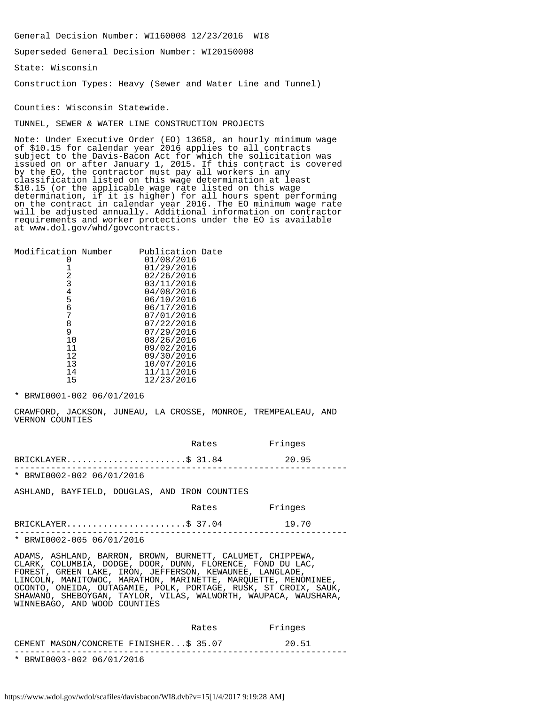General Decision Number: WI160008 12/23/2016 WI8

Superseded General Decision Number: WI20150008

State: Wisconsin

Construction Types: Heavy (Sewer and Water Line and Tunnel)

Counties: Wisconsin Statewide.

TUNNEL, SEWER & WATER LINE CONSTRUCTION PROJECTS

Note: Under Executive Order (EO) 13658, an hourly minimum wage of \$10.15 for calendar year 2016 applies to all contracts subject to the Davis-Bacon Act for which the solicitation was issued on or after January 1, 2015. If this contract is covered by the EO, the contractor must pay all workers in any classification listed on this wage determination at least \$10.15 (or the applicable wage rate listed on this wage determination, if it is higher) for all hours spent performing on the contract in calendar year 2016. The EO minimum wage rate will be adjusted annually. Additional information on contractor requirements and worker protections under the EO is available at www.dol.gov/whd/govcontracts.

| Modification Number | Publication Date |  |
|---------------------|------------------|--|
|                     | 01/08/2016       |  |
|                     | 01/29/2016       |  |
| 2                   | 02/26/2016       |  |
| 3                   | 03/11/2016       |  |
|                     | 04/08/2016       |  |
| 4<br>5<br>6         | 06/10/2016       |  |
|                     | 06/17/2016       |  |
| 7                   | 07/01/2016       |  |
| 8                   | 07/22/2016       |  |
| 9                   | 07/29/2016       |  |
| 10                  | 08/26/2016       |  |
| 11                  | 09/02/2016       |  |
| 12                  | 09/30/2016       |  |
| 13                  | 10/07/2016       |  |
| 14                  | 11/11/2016       |  |
| 15                  | 12/23/2016       |  |
|                     |                  |  |

\* BRWI0001-002 06/01/2016

CRAWFORD, JACKSON, JUNEAU, LA CROSSE, MONROE, TREMPEALEAU, AND VERNON COUNTIES

|                                                                                                                                                                                                                                                                                                                                                                                              | Rates | Fringes |  |
|----------------------------------------------------------------------------------------------------------------------------------------------------------------------------------------------------------------------------------------------------------------------------------------------------------------------------------------------------------------------------------------------|-------|---------|--|
| BRICKLAYER\$ 31.84                                                                                                                                                                                                                                                                                                                                                                           |       | 20.95   |  |
| * BRWI0002-002 06/01/2016                                                                                                                                                                                                                                                                                                                                                                    |       |         |  |
| ASHLAND, BAYFIELD, DOUGLAS, AND IRON COUNTIES                                                                                                                                                                                                                                                                                                                                                |       |         |  |
|                                                                                                                                                                                                                                                                                                                                                                                              | Rates | Fringes |  |
| BRICKLAYER\$ 37.04                                                                                                                                                                                                                                                                                                                                                                           |       | 19.70   |  |
| * BRWI0002-005 06/01/2016                                                                                                                                                                                                                                                                                                                                                                    |       |         |  |
| ADAMS, ASHLAND, BARRON, BROWN, BURNETT, CALUMET, CHIPPEWA,<br>CLARK, COLUMBIA, DODGE, DOOR, DUNN, FLORENCE, FOND DU LAC,<br>FOREST, GREEN LAKE, IRON, JEFFERSON, KEWAUNEE, LANGLADE,<br>LINCOLN, MANITOWOC, MARATHON, MARINETTE, MAROUETTE, MENOMINEE,<br>OCONTO, ONEIDA, OUTAGAMIE, POLK, PORTAGE, RUSK, ST CROIX, SAUK,<br>SHAWANO, SHEBOYGAN, TAYLOR, VILAS, WALWORTH, WAUPACA, WAUSHARA, |       |         |  |

|                                        | Rates | Fringes |  |
|----------------------------------------|-------|---------|--|
| CEMENT MASON/CONCRETE FINISHER\$ 35.07 |       | 20.51   |  |
|                                        |       |         |  |

\* BRWI0003-002 06/01/2016

WINNEBAGO, AND WOOD COUNTIES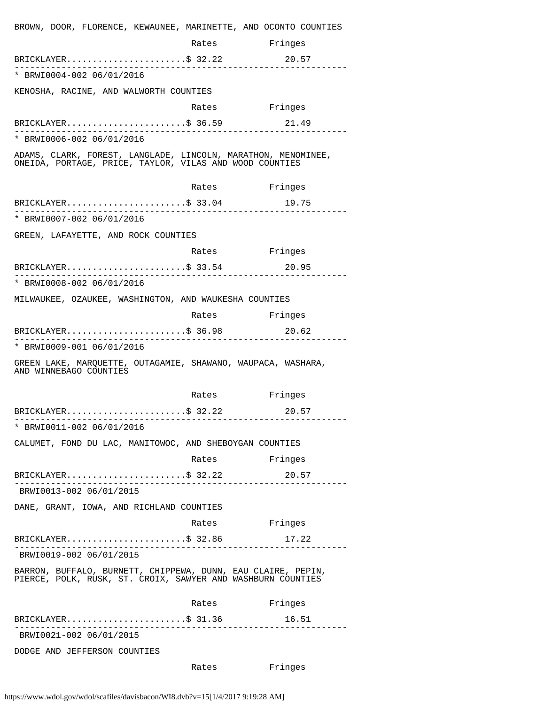| BROWN, DOOR, FLORENCE, KEWAUNEE, MARINETTE, AND OCONTO COUNTIES                                                             |               |         |
|-----------------------------------------------------------------------------------------------------------------------------|---------------|---------|
|                                                                                                                             | Rates         | Fringes |
| BRICKLAYER\$ 32.22                                                                                                          |               | 20.57   |
| * BRWI0004-002 06/01/2016                                                                                                   |               |         |
| KENOSHA, RACINE, AND WALWORTH COUNTIES                                                                                      |               |         |
|                                                                                                                             | Rates         | Fringes |
| BRICKLAYER\$ 36.59                                                                                                          |               | 21.49   |
| * BRWI0006-002 06/01/2016                                                                                                   |               |         |
| ADAMS, CLARK, FOREST, LANGLADE, LINCOLN, MARATHON, MENOMINEE,<br>ONEIDA, PORTAGE, PRICE, TAYLOR, VILAS AND WOOD COUNTIES    |               |         |
|                                                                                                                             | Rates         | Fringes |
| $BRICKLAYER$ \$ 33.04                                                                                                       |               | 19.75   |
| * BRWI0007-002 06/01/2016                                                                                                   |               |         |
| GREEN, LAFAYETTE, AND ROCK COUNTIES                                                                                         |               |         |
|                                                                                                                             | Rates         | Fringes |
| $BRICKLAYER$ \$ 33.54                                                                                                       |               | 20.95   |
| * BRWI0008-002 06/01/2016                                                                                                   |               |         |
| MILWAUKEE, OZAUKEE, WASHINGTON, AND WAUKESHA COUNTIES                                                                       |               |         |
|                                                                                                                             | Rates Fringes |         |
| $BRICKLAYER$ \$ 36.98                                                                                                       |               | 20.62   |
| * BRWI0009-001 06/01/2016                                                                                                   |               |         |
| GREEN LAKE, MARQUETTE, OUTAGAMIE, SHAWANO, WAUPACA, WASHARA,<br>AND WINNEBAGO COUNTIES                                      |               |         |
|                                                                                                                             | Rates         | Fringes |
| BRICKLAYER\$ 32.22                                                                                                          |               | 20.57   |
| . _ _ _ _ _ _ _ _ _ _ _ _ _ _ _ _ _<br>* BRWI0011-002 06/01/2016                                                            |               |         |
| CALUMET, FOND DU LAC, MANITOWOC, AND SHEBOYGAN COUNTIES                                                                     |               |         |
|                                                                                                                             | Rates         | Fringes |
| BRICKLAYER\$ 32.22<br><u> 1999 - Salasan Salasan I</u>                                                                      |               | 20.57   |
| BRWI0013-002 06/01/2015                                                                                                     |               |         |
| DANE, GRANT, IOWA, AND RICHLAND COUNTIES                                                                                    |               |         |
|                                                                                                                             | Rates Fringes |         |
| $BRICKLAYER$ \$ 32.86<br>________________                                                                                   |               | 17.22   |
| BRWI0019-002 06/01/2015                                                                                                     |               |         |
| BARRON, BUFFALO, BURNETT, CHIPPEWA, DUNN, EAU CLAIRE, PEPIN,<br>PIERCE, POLK, RUSK, ST. CROIX, SAWYER AND WASHBURN COUNTIES |               |         |
|                                                                                                                             | Rates         | Fringes |
| $BRICKLAYER$ \$ 31.36                                                                                                       |               | 16.51   |
| BRWI0021-002 06/01/2015                                                                                                     |               |         |
|                                                                                                                             |               |         |
| DODGE AND JEFFERSON COUNTIES                                                                                                |               |         |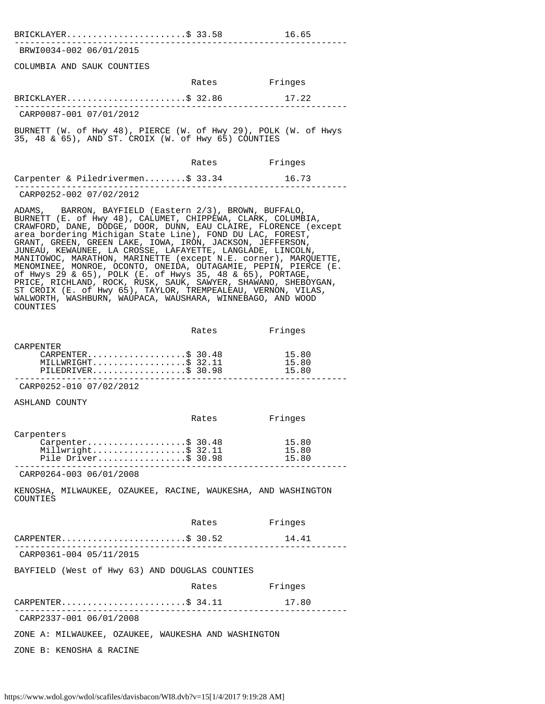| BRICKLAYER\$ 33.58<br>16.65 |
|-----------------------------|
|-----------------------------|

---------------------------------------------------------------- BRWI0034-002 06/01/2015

COLUMBIA AND SAUK COUNTIES

|                         | Rates | Fringes |  |
|-------------------------|-------|---------|--|
| BRICKLAYER\$ 32.86      |       | 17.22   |  |
| CARP0087-001 07/01/2012 |       |         |  |

BURNETT (W. of Hwy 48), PIERCE (W. of Hwy 29), POLK (W. of Hwys 35, 48 & 65), AND ST. CROIX (W. of Hwy 65) COUNTIES

|                                   | Rates | Fringes |
|-----------------------------------|-------|---------|
| Carpenter & Piledrivermen\$ 33.34 |       | 16.73   |
| CARP0252-002 07/02/2012           |       |         |

ADAMS, BARRON, BAYFIELD (Eastern 2/3), BROWN, BUFFALO, BURNETT (E. of Hwy 48), CALUMET, CHIPPEWA, CLARK, COLUMBIA, CRAWFORD, DANE, DODGE, DOOR, DUNN, EAU CLAIRE, FLORENCE (except area bordering Michigan State Line), FOND DU LAC, FOREST, GRANT, GREEN, GREEN LAKE, IOWA, IRON, JACKSON, JEFFERSON, JUNEAU, KEWAUNEE, LA CROSSE, LAFAYETTE, LANGLADE, LINCOLN, MANITOWOC, MARATHON, MARINETTE (except N.E. corner), MARQUETTE, MENOMINEE, MONROE, OCONTO, ONEIDA, OUTAGAMIE, PEPIN, PIERCE (E. of Hwys 29 & 65), POLK (E. of Hwys 35, 48 & 65), PORTAGE, PRICE, RICHLAND, ROCK, RUSK, SAUK, SAWYER, SHAWANO, SHEBOYGAN, ST CROIX (E. of Hwy 65), TAYLOR, TREMPEALEAU, VERNON, VILAS, WALWORTH, WASHBURN, WAUPACA, WAUSHARA, WINNEBAGO, AND WOOD COUNTIES

|                    | Rates | Fringes |  |
|--------------------|-------|---------|--|
| CARPENTER          |       |         |  |
| CARPENTER\$ 30.48  |       | 15.80   |  |
| MILLWRIGHT\$32.11  |       | 15.80   |  |
| PILEDRIVER\$ 30.98 |       | 15.80   |  |
|                    |       |         |  |

CARP0252-010 07/02/2012

ASHLAND COUNTY

|                                                                              | Rates | Fringes                 |
|------------------------------------------------------------------------------|-------|-------------------------|
| Carpenters<br>Carpenter\$ 30.48<br>Millwright\$ 32.11<br>Pile Driver\$ 30.98 |       | 15.80<br>15.80<br>15.80 |
| CARP0264-003 06/01/2008                                                      |       |                         |
| KENOSHA, MILWAUKEE, OZAUKEE, RACINE, WAUKESHA, AND WASHINGTON<br>COUNTIES    |       |                         |
|                                                                              | Rates | Fringes                 |
| CARPENTER\$ 30.52                                                            |       | 14.41                   |
| CARP0361-004 05/11/2015                                                      |       |                         |
| BAYFIELD (West of Hwy 63) AND DOUGLAS COUNTIES                               |       |                         |
|                                                                              | Rates | Fringes                 |
| CARPENTER\$ 34.11                                                            |       | 17.80                   |
| CARP2337-001 06/01/2008                                                      |       |                         |
| ZONE A: MILWAUKEE, OZAUKEE, WAUKESHA AND WASHINGTON                          |       |                         |
| ZONE B: KENOSHA & RACINE                                                     |       |                         |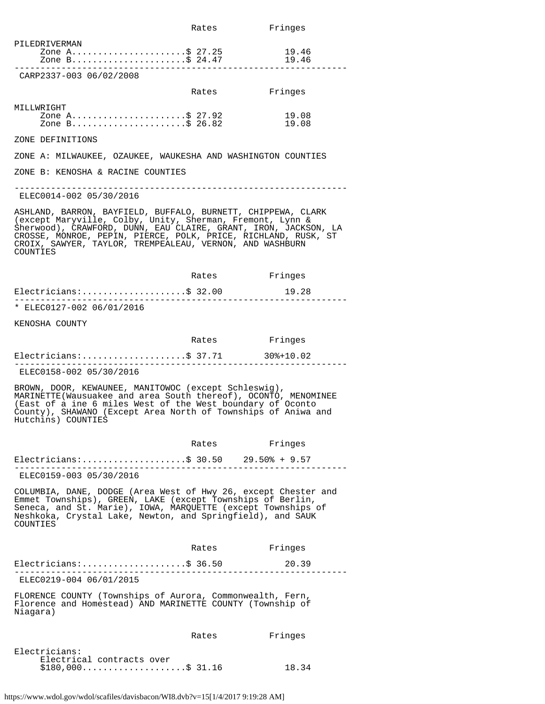|                                                                                                                                                                                                                                                                                                                                        | Rates         | Fringes        |
|----------------------------------------------------------------------------------------------------------------------------------------------------------------------------------------------------------------------------------------------------------------------------------------------------------------------------------------|---------------|----------------|
| PILEDRIVERMAN<br>Zone A\$ 27.25<br>Zone B\$ 24.47                                                                                                                                                                                                                                                                                      |               | 19.46<br>19.46 |
| CARP2337-003 06/02/2008                                                                                                                                                                                                                                                                                                                |               |                |
|                                                                                                                                                                                                                                                                                                                                        | Rates         | Fringes        |
| MILLWRIGHT<br>Zone A\$ 27.92<br>Zone B\$ 26.82<br>Zone B\$ 26.82                                                                                                                                                                                                                                                                       |               | 19.08<br>19.08 |
| ZONE DEFINITIONS                                                                                                                                                                                                                                                                                                                       |               |                |
| ZONE A: MILWAUKEE, OZAUKEE, WAUKESHA AND WASHINGTON COUNTIES                                                                                                                                                                                                                                                                           |               |                |
| ZONE B: KENOSHA & RACINE COUNTIES                                                                                                                                                                                                                                                                                                      |               |                |
| ELEC0014-002 05/30/2016                                                                                                                                                                                                                                                                                                                |               |                |
| ASHLAND, BARRON, BAYFIELD, BUFFALO, BURNETT, CHIPPEWA, CLARK<br>(except Maryville, Colby, Unity, Sherman, Fremont, Lynn &<br>Sherwood), CRAWFORD, DUNN, EAU CLAIRE, GRANT, IRON, JACKSON, LA<br>CROSSE, MONROE, PEPIN, PIERCE, POLK, PRICE, RICHLAND, RUSK, ST<br>CROIX, SAWYER, TAYLOR, TREMPEALEAU, VERNON, AND WASHBURN<br>COUNTIES |               |                |
|                                                                                                                                                                                                                                                                                                                                        | Rates Fringes |                |
| $Electricians:$ \$ 32.00<br>------------------                                                                                                                                                                                                                                                                                         |               | 19.28          |
| * ELEC0127-002 06/01/2016                                                                                                                                                                                                                                                                                                              |               |                |
| KENOSHA COUNTY                                                                                                                                                                                                                                                                                                                         |               |                |
|                                                                                                                                                                                                                                                                                                                                        | Rates Fringes |                |
|                                                                                                                                                                                                                                                                                                                                        |               |                |
| ELEC0158-002 05/30/2016                                                                                                                                                                                                                                                                                                                |               |                |
| BROWN, DOOR, KEWAUNEE, MANITOWOC (except Schleswig),<br>MARINETTE(Wausuakee and area South thereof), OCONTO, MENOMINEE<br>(East of a ine 6 miles West of the West boundary of Oconto<br>County), SHAWANO (Except Area North of Townships of Aniwa and<br>Hutchins) COUNTIES                                                            |               |                |
|                                                                                                                                                                                                                                                                                                                                        | Rates         | Fringes        |
| Electricians: \$ 30.50 29.50% + 9.57                                                                                                                                                                                                                                                                                                   |               |                |
| ELEC0159-003 05/30/2016                                                                                                                                                                                                                                                                                                                |               |                |
| COLUMBIA, DANE, DODGE (Area West of Hwy 26, except Chester and<br>Emmet Townships), GREEN, LAKE (except Townships of Berlin,<br>Seneca, and St. Marie), IOWA, MARQUETTE (except Townships of<br>Neshkoka, Crystal Lake, Newton, and Springfield), and SAUK<br>COUNTIES                                                                 |               |                |
|                                                                                                                                                                                                                                                                                                                                        | Rates         | Fringes        |
| $Electrical ns:$ \$ 36.50                                                                                                                                                                                                                                                                                                              |               | 20.39          |
| .<br>ELEC0219-004 06/01/2015                                                                                                                                                                                                                                                                                                           |               |                |
| FLORENCE COUNTY (Townships of Aurora, Commonwealth, Fern,<br>Florence and Homestead) AND MARINETTE COUNTY (Township of<br>Niagara)                                                                                                                                                                                                     |               |                |
|                                                                                                                                                                                                                                                                                                                                        | Rates         | Fringes        |
| Electricians:<br>Electrical contracts over<br>$$180,000$ \$ 31.16                                                                                                                                                                                                                                                                      |               | 18.34          |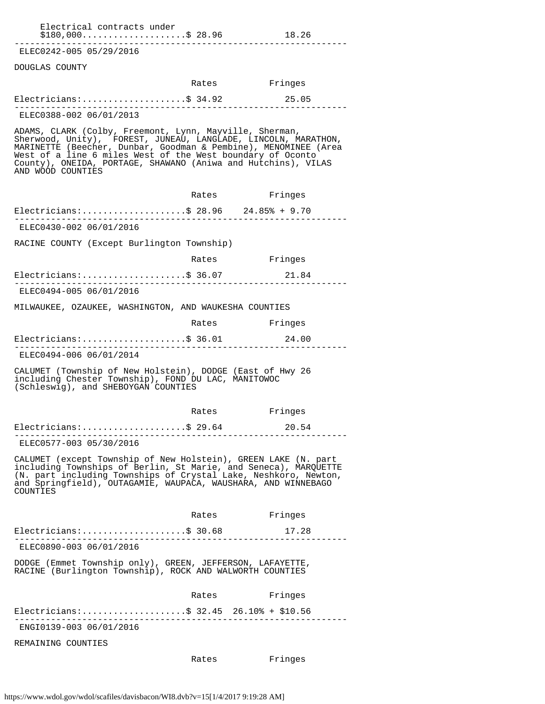| Electrical contracts under<br>$$180,000$ \$ 28.96                                                                                                                                                                                                                                                                                                |               | 18.26   |
|--------------------------------------------------------------------------------------------------------------------------------------------------------------------------------------------------------------------------------------------------------------------------------------------------------------------------------------------------|---------------|---------|
| ELEC0242-005 05/29/2016                                                                                                                                                                                                                                                                                                                          |               |         |
| DOUGLAS COUNTY                                                                                                                                                                                                                                                                                                                                   |               |         |
|                                                                                                                                                                                                                                                                                                                                                  | Rates Fringes |         |
| $Electricians:$ \$ 34.92                                                                                                                                                                                                                                                                                                                         |               | 25.05   |
| ELEC0388-002 06/01/2013                                                                                                                                                                                                                                                                                                                          |               |         |
| ADAMS, CLARK (Colby, Freemont, Lynn, Mayville, Sherman,<br>Sherwood, Unity), FOREST, JUNEAU, LANGLADE, LINCOLN, MARATHON,<br>MARINETTE (Beecher, Dunbar, Goodman & Pembine), MENOMINEE (Area<br>West of a line 6 miles West of the West boundary of Oconto<br>County), ONEIDA, PORTAGE, SHAWANO (Aniwa and Hutchins), VILAS<br>AND WOOD COUNTIES |               |         |
|                                                                                                                                                                                                                                                                                                                                                  | Rates Fringes |         |
| Electricians: \$ 28.96 24.85% + 9.70                                                                                                                                                                                                                                                                                                             |               |         |
| ELEC0430-002 06/01/2016                                                                                                                                                                                                                                                                                                                          |               |         |
| RACINE COUNTY (Except Burlington Township)                                                                                                                                                                                                                                                                                                       |               |         |
|                                                                                                                                                                                                                                                                                                                                                  | Rates Fringes |         |
| Electricians:\$ 36.07                                                                                                                                                                                                                                                                                                                            |               | 21.84   |
| ELEC0494-005 06/01/2016                                                                                                                                                                                                                                                                                                                          |               |         |
| MILWAUKEE, OZAUKEE, WASHINGTON, AND WAUKESHA COUNTIES                                                                                                                                                                                                                                                                                            |               |         |
|                                                                                                                                                                                                                                                                                                                                                  | Rates Fringes |         |
| Electricians:\$ 36.01 24.00                                                                                                                                                                                                                                                                                                                      |               |         |
| ELEC0494-006 06/01/2014                                                                                                                                                                                                                                                                                                                          |               |         |
| CALUMET (Township of New Holstein), DODGE (East of Hwy 26<br>including Chester Township), FOND DU LAC, MANITOWOC<br>(Schleswig), and SHEBOYGAN COUNTIES                                                                                                                                                                                          |               |         |
|                                                                                                                                                                                                                                                                                                                                                  | Rates Fringes |         |
| Electricians:\$ 29.64                                                                                                                                                                                                                                                                                                                            |               | 20.54   |
| ELEC0577-003 05/30/2016                                                                                                                                                                                                                                                                                                                          |               |         |
| CALUMET (except Township of New Holstein), GREEN LAKE (N. part<br>including Townships of Berlin, St Marie, and Seneca), MARQUETTE<br>(N. part including Townships of Crystal Lake, Neshkoro, Newton,<br>and Springfield), OUTAGAMIE, WAUPACA, WAUSHARA, AND WINNEBAGO<br>COUNTIES                                                                |               |         |
|                                                                                                                                                                                                                                                                                                                                                  | Rates         | Fringes |
| Electricians:\$ 30.68                                                                                                                                                                                                                                                                                                                            |               | 17.28   |
| ELEC0890-003 06/01/2016                                                                                                                                                                                                                                                                                                                          |               |         |
| DODGE (Emmet Township only), GREEN, JEFFERSON, LAFAYETTE,<br>RACINE (Burlington Township), ROCK AND WALWORTH COUNTIES                                                                                                                                                                                                                            |               |         |
|                                                                                                                                                                                                                                                                                                                                                  | Rates         | Fringes |
| Electricians:\$ 32.45 26.10% + \$10.56                                                                                                                                                                                                                                                                                                           |               |         |
| ENGI0139-003 06/01/2016                                                                                                                                                                                                                                                                                                                          |               |         |
| REMAINING COUNTIES                                                                                                                                                                                                                                                                                                                               |               |         |

Rates Fringes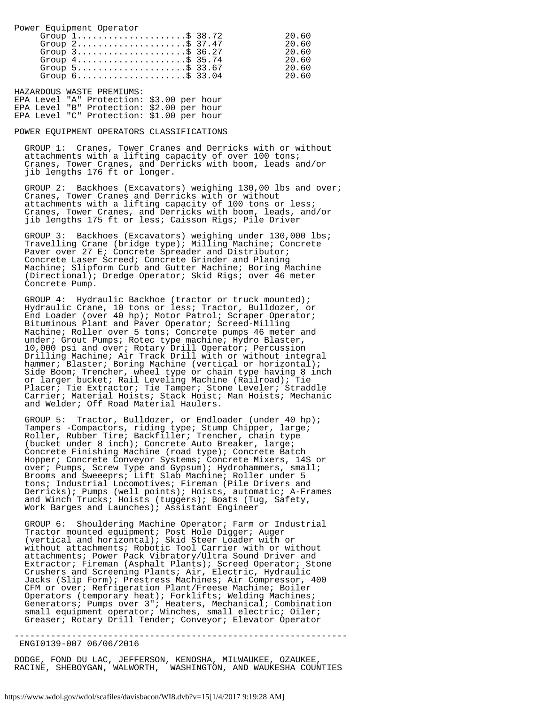Power Equipment Operator

| Group $1, \ldots, \ldots, \ldots, \ldots, \$ 38.72<br>Group $2 \ldots \ldots \ldots \ldots \ldots \ldots \approx 37.47$<br>Group $3$ \$ 36.27<br>Group $4 \ldots \ldots \ldots \ldots \ldots \ldots \text{S}$ 35.74<br>Group $5 \ldots \ldots \ldots \ldots \ldots \ldots$ \$ 33.67 | 20.60<br>20.60<br>20.60<br>20.60<br>20.60 |
|-------------------------------------------------------------------------------------------------------------------------------------------------------------------------------------------------------------------------------------------------------------------------------------|-------------------------------------------|
| Group $6 \ldots \ldots \ldots \ldots \ldots \ldots \text{S}$ 33.04                                                                                                                                                                                                                  | 20.60                                     |

HAZARDOUS WASTE PREMIUMS: EPA Level "A" Protection: \$3.00 per hour EPA Level "B" Protection: \$2.00 per hour EPA Level "C" Protection: \$1.00 per hour

# POWER EQUIPMENT OPERATORS CLASSIFICATIONS

 GROUP 1: Cranes, Tower Cranes and Derricks with or without attachments with a lifting capacity of over 100 tons; Cranes, Tower Cranes, and Derricks with boom, leads and/or jib lengths 176 ft or longer.

 GROUP 2: Backhoes (Excavators) weighing 130,00 lbs and over; Cranes, Tower Cranes and Derricks with or without attachments with a lifting capacity of 100 tons or less; Cranes, Tower Cranes, and Derricks with boom, leads, and/or jib lengths 175 ft or less; Caisson Rigs; Pile Driver

 GROUP 3: Backhoes (Excavators) weighing under 130,000 lbs; Travelling Crane (bridge type); Milling Machine; Concrete Paver over 27 E; Concrete Spreader and Distributor; Concrete Laser Screed; Concrete Grinder and Planing Machine; Slipform Curb and Gutter Machine; Boring Machine (Directional); Dredge Operator; Skid Rigs; over 46 meter Concrete Pump.

 GROUP 4: Hydraulic Backhoe (tractor or truck mounted); Hydraulic Crane, 10 tons or less; Tractor, Bulldozer, or End Loader (over 40 hp); Motor Patrol; Scraper Operator; Bituminous Plant and Paver Operator; Screed-Milling Machine; Roller over 5 tons; Concrete pumps 46 meter and under; Grout Pumps; Rotec type machine; Hydro Blaster, 10,000 psi and over; Rotary Drill Operator; Percussion Drilling Machine; Air Track Drill with or without integral hammer; Blaster; Boring Machine (vertical or horizontal); Side Boom; Trencher, wheel type or chain type having 8 inch or larger bucket; Rail Leveling Machine (Railroad); Tie Placer; Tie Extractor; Tie Tamper; Stone Leveler; Straddle Carrier; Material Hoists; Stack Hoist; Man Hoists; Mechanic and Welder; Off Road Material Haulers.

 GROUP 5: Tractor, Bulldozer, or Endloader (under 40 hp); Tampers -Compactors, riding type; Stump Chipper, large; Roller, Rubber Tire; Backfiller; Trencher, chain type (bucket under 8 inch); Concrete Auto Breaker, large; Concrete Finishing Machine (road type); Concrete Batch Hopper; Concrete Conveyor Systems; Concrete Mixers, 14S or over; Pumps, Screw Type and Gypsum); Hydrohammers, small; Brooms and Sweeeprs; Lift Slab Machine; Roller under 5 tons; Industrial Locomotives; Fireman (Pile Drivers and Derricks); Pumps (well points); Hoists, automatic; A-Frames and Winch Trucks; Hoists (tuggers); Boats (Tug, Safety, Work Barges and Launches); Assistant Engineer

 GROUP 6: Shouldering Machine Operator; Farm or Industrial Tractor mounted equipment; Post Hole Digger; Auger (vertical and horizontal); Skid Steer Loader with or without attachments; Robotic Tool Carrier with or without attachments; Power Pack Vibratory/Ultra Sound Driver and Extractor; Fireman (Asphalt Plants); Screed Operator; Stone Crushers and Screening Plants; Air, Electric, Hydraulic Jacks (Slip Form); Prestress Machines; Air Compressor, 400 CFM or over; Refrigeration Plant/Freese Machine; Boiler Operators (temporary heat); Forklifts; Welding Machines; Generators; Pumps over 3"; Heaters, Mechanical; Combination small equipment operator; Winches, small electric; Oiler; Greaser; Rotary Drill Tender; Conveyor; Elevator Operator

ENGI0139-007 06/06/2016

DODGE, FOND DU LAC, JEFFERSON, KENOSHA, MILWAUKEE, OZAUKEE, RACINE, SHEBOYGAN, WALWORTH, WASHINGTON, AND WAUKESHA COUNTIES

----------------------------------------------------------------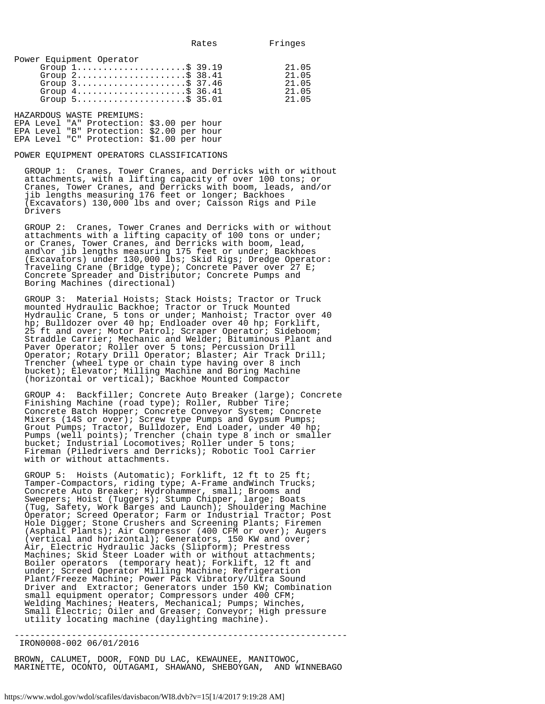|  | Power Equipment Operator |
|--|--------------------------|
|  |                          |

|  | Group $1, \ldots, \ldots, \ldots, \ldots, \$ 39.19                 | ን1 በ5  |
|--|--------------------------------------------------------------------|--------|
|  | Group $2 \ldots \ldots \ldots \ldots \ldots \ldots \text{S}$ 38.41 | 21 05  |
|  | Group $3$ \$ 37.46                                                 | 21 05  |
|  | Group $4 \ldots \ldots \ldots \ldots \ldots \ldots \text{S}$ 36.41 | 21 05  |
|  | Group $5 \ldots \ldots \ldots \ldots \ldots \ldots \text{S}$ 35.01 | 21 U.E |
|  |                                                                    |        |

HAZARDOUS WASTE PREMIUMS: EPA Level "A" Protection: \$3.00 per hour EPA Level "B" Protection: \$2.00 per hour EPA Level "C" Protection: \$1.00 per hour

## POWER EQUIPMENT OPERATORS CLASSIFICATIONS

 GROUP 1: Cranes, Tower Cranes, and Derricks with or without attachments, with a lifting capacity of over 100 tons; or Cranes, Tower Cranes, and Derricks with boom, leads, and/or jib lengths measuring 176 feet or longer; Backhoes (Excavators) 130,000 lbs and over; Caisson Rigs and Pile Drivers

 GROUP 2: Cranes, Tower Cranes and Derricks with or without attachments with a lifting capacity of 100 tons or under; or Cranes, Tower Cranes, and Derricks with boom, lead, and\or jib lengths measuring 175 feet or under; Backhoes (Excavators) under 130,000 lbs; Skid Rigs; Dredge Operator: Traveling Crane (Bridge type); Concrete Paver over 27 E; Concrete Spreader and Distributor; Concrete Pumps and Boring Machines (directional)

 GROUP 3: Material Hoists; Stack Hoists; Tractor or Truck mounted Hydraulic Backhoe; Tractor or Truck Mounted Hydraulic Crane, 5 tons or under; Manhoist; Tractor over 40 hp; Bulldozer over 40 hp; Endloader over 40 hp; Forklift, 25 ft and over; Motor Patrol; Scraper Operator; Sideboom; Straddle Carrier; Mechanic and Welder; Bituminous Plant and Paver Operator; Roller over 5 tons; Percussion Drill Operator; Rotary Drill Operator; Blaster; Air Track Drill; Trencher (wheel type or chain type having over 8 inch bucket); Elevator; Milling Machine and Boring Machine (horizontal or vertical); Backhoe Mounted Compactor

 GROUP 4: Backfiller; Concrete Auto Breaker (large); Concrete Finishing Machine (road type); Roller, Rubber Tire; Concrete Batch Hopper; Concrete Conveyor System; Concrete Mixers (14S or over); Screw type Pumps and Gypsum Pumps; Grout Pumps; Tractor, Bulldozer, End Loader, under 40 hp; Pumps (well points); Trencher (chain type 8 inch or smaller bucket; Industrial Locomotives; Roller under 5 tons; Fireman (Piledrivers and Derricks); Robotic Tool Carrier with or without attachments.

 GROUP 5: Hoists (Automatic); Forklift, 12 ft to 25 ft; Tamper-Compactors, riding type; A-Frame andWinch Trucks; Concrete Auto Breaker; Hydrohammer, small; Brooms and Sweepers; Hoist (Tuggers); Stump Chipper, large; Boats (Tug, Safety, Work Barges and Launch); Shouldering Machine Operator; Screed Operator; Farm or Industrial Tractor; Post Hole Digger; Stone Crushers and Screening Plants; Firemen (Asphalt Plants); Air Compressor (400 CFM or over); Augers (vertical and horizontal); Generators, 150 KW and over; Air, Electric Hydraulic Jacks (Slipform); Prestress Machines; Skid Steer Loader with or without attachments; Boiler operators (temporary heat); Forklift, 12 ft and under; Screed Operator Milling Machine; Refrigeration Plant/Freeze Machine; Power Pack Vibratory/Ultra Sound Driver and Extractor; Generators under 150 KW; Combination small equipment operator; Compressors under 400 CFM; Welding Machines; Heaters, Mechanical; Pumps; Winches, Small Electric; Oiler and Greaser; Conveyor; High pressure utility locating machine (daylighting machine).

---------------------------------------------------------------- IRON0008-002 06/01/2016

BROWN, CALUMET, DOOR, FOND DU LAC, KEWAUNEE, MANITOWOC, MARINETTE, OCONTO, OUTAGAMI, SHAWANO, SHEBOYGAN, AND WINNEBAGO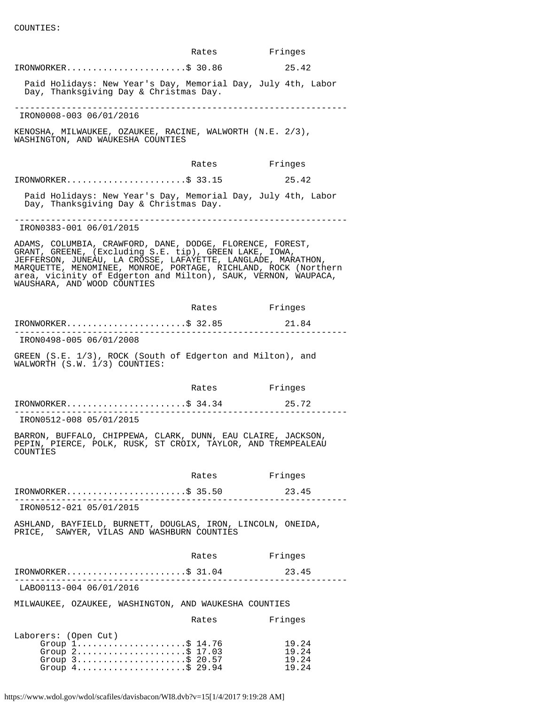COUNTIES:

|                                                                                                                                                                                                                                                                                                                                                         | Rates         | Fringes                          |  |
|---------------------------------------------------------------------------------------------------------------------------------------------------------------------------------------------------------------------------------------------------------------------------------------------------------------------------------------------------------|---------------|----------------------------------|--|
| $IRONWORKER$ \$ 30.86                                                                                                                                                                                                                                                                                                                                   |               | 25.42                            |  |
| Paid Holidays: New Year's Day, Memorial Day, July 4th, Labor<br>Day, Thanksgiving Day & Christmas Day.                                                                                                                                                                                                                                                  |               |                                  |  |
| IRON0008-003 06/01/2016                                                                                                                                                                                                                                                                                                                                 |               |                                  |  |
| KENOSHA, MILWAUKEE, OZAUKEE, RACINE, WALWORTH (N.E. 2/3),<br>WASHINGTON, AND WAUKESHA COUNTIES                                                                                                                                                                                                                                                          |               |                                  |  |
|                                                                                                                                                                                                                                                                                                                                                         | Rates         | Fringes                          |  |
| IRONWORKER\$ 33.15                                                                                                                                                                                                                                                                                                                                      |               | 25.42                            |  |
| Paid Holidays: New Year's Day, Memorial Day, July 4th, Labor<br>Day, Thanksgiving Day & Christmas Day.                                                                                                                                                                                                                                                  |               |                                  |  |
| IRON0383-001 06/01/2015                                                                                                                                                                                                                                                                                                                                 |               |                                  |  |
| ADAMS, COLUMBIA, CRAWFORD, DANE, DODGE, FLORENCE, FOREST,<br>GRANT, GREENE, (Excluding S.E. tip), GREEN LAKE, IOWA,<br>JEFFERSON, JUNEAU, LA CROSSE, LAFAYETTE, LANGLADE, MARATHON,<br>MARQUETTE, MENOMINEE, MONROE, PORTAGE, RICHLAND, ROCK (Northern<br>area, vicinity of Edgerton and Milton), SAUK, VERNON, WAUPACA,<br>WAUSHARA, AND WOOD COUNTIES |               |                                  |  |
|                                                                                                                                                                                                                                                                                                                                                         | Rates Fringes |                                  |  |
| IRONWORKER\$ 32.85                                                                                                                                                                                                                                                                                                                                      |               | 21.84                            |  |
| IRON0498-005 06/01/2008                                                                                                                                                                                                                                                                                                                                 |               |                                  |  |
| GREEN (S.E. 1/3), ROCK (South of Edgerton and Milton), and<br>WALWORTH (S.W. 1/3) COUNTIES:                                                                                                                                                                                                                                                             |               |                                  |  |
|                                                                                                                                                                                                                                                                                                                                                         | Rates         | Fringes                          |  |
| $IRONWORKER.$ \$ 34.34                                                                                                                                                                                                                                                                                                                                  |               | 25.72                            |  |
| IRON0512-008 05/01/2015                                                                                                                                                                                                                                                                                                                                 |               |                                  |  |
| BARRON, BUFFALO, CHIPPEWA, CLARK, DUNN, EAU CLAIRE, JACKSON,<br>PEPIN, PIERCE, POLK, RUSK, ST CROIX, TAYLOR, AND TREMPEALEAU<br>COUNTIES                                                                                                                                                                                                                |               |                                  |  |
|                                                                                                                                                                                                                                                                                                                                                         | Rates         | Fringes                          |  |
| $IRONWORKER$ \$ 35.50                                                                                                                                                                                                                                                                                                                                   |               | 23.45                            |  |
| IRON0512-021 05/01/2015                                                                                                                                                                                                                                                                                                                                 |               |                                  |  |
| ASHLAND, BAYFIELD, BURNETT, DOUGLAS, IRON, LINCOLN, ONEIDA,<br>PRICE, SAWYER, VILAS AND WASHBURN COUNTIES                                                                                                                                                                                                                                               |               |                                  |  |
|                                                                                                                                                                                                                                                                                                                                                         | Rates         | Fringes                          |  |
| $IRONWORKER$ \$ 31.04                                                                                                                                                                                                                                                                                                                                   | $4$ 23.       | 23.45                            |  |
| _______________________________<br>LAB00113-004 06/01/2016                                                                                                                                                                                                                                                                                              |               |                                  |  |
| MILWAUKEE, OZAUKEE, WASHINGTON, AND WAUKESHA COUNTIES                                                                                                                                                                                                                                                                                                   |               |                                  |  |
|                                                                                                                                                                                                                                                                                                                                                         | Rates         | Fringes                          |  |
| Laborers: (Open Cut)<br>Group 1\$ 14.76<br>Group 2\$ 17.03<br>Group $3$ \$ 20.57<br>Group $4 \ldots \ldots \ldots \ldots \ldots \ldots$ \$ 29.94                                                                                                                                                                                                        |               | 19.24<br>19.24<br>19.24<br>19.24 |  |

https://www.wdol.gov/wdol/scafiles/davisbacon/WI8.dvb?v=15[1/4/2017 9:19:28 AM]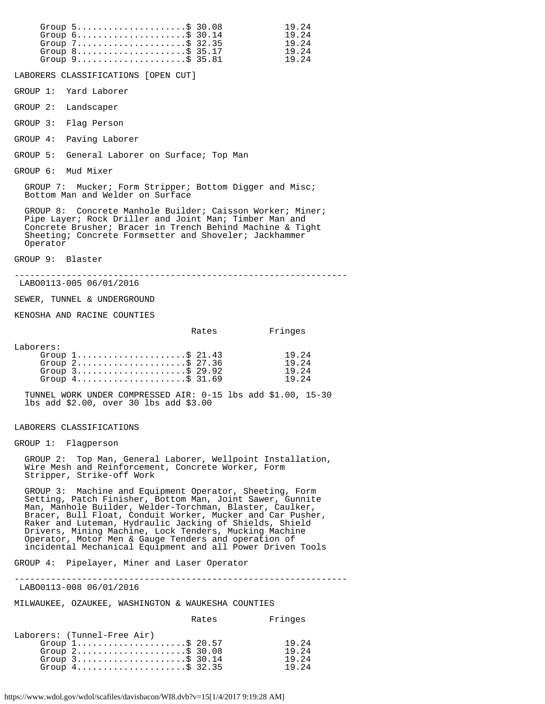| Group $5 \ldots \ldots \ldots \ldots \ldots \ldots$ \$ 30.08<br>19.24<br>Group $6 \ldots \ldots \ldots \ldots \ldots \ldots$ \$ 30.14<br>Group $7 \ldots \ldots \ldots \ldots \ldots \ldots \text{ } \$2.35$<br>Group $8 \ldots \ldots \ldots \ldots \ldots \ldots$ \$ 35.17<br>Group $9$ \$ 35.81 | 19.24<br>19.24<br>19.24<br>19.24 |
|----------------------------------------------------------------------------------------------------------------------------------------------------------------------------------------------------------------------------------------------------------------------------------------------------|----------------------------------|
| LABORERS CLASSIFICATIONS [OPEN CUT]                                                                                                                                                                                                                                                                |                                  |
| GROUP 1: Yard Laborer                                                                                                                                                                                                                                                                              |                                  |
| GROUP 2: Landscaper                                                                                                                                                                                                                                                                                |                                  |
| GROUP 3: Flaq Person                                                                                                                                                                                                                                                                               |                                  |
| GROUP 4: Paving Laborer                                                                                                                                                                                                                                                                            |                                  |
| GROUP 5: General Laborer on Surface; Top Man                                                                                                                                                                                                                                                       |                                  |
| GROUP 6: Mud Mixer                                                                                                                                                                                                                                                                                 |                                  |
| GROUP 7: Mucker; Form Stripper; Bottom Digger and Misc;<br>Bottom Man and Welder on Surface                                                                                                                                                                                                        |                                  |
|                                                                                                                                                                                                                                                                                                    |                                  |

 GROUP 8: Concrete Manhole Builder; Caisson Worker; Miner; Pipe Layer; Rock Driller and Joint Man; Timber Man and Concrete Brusher; Bracer in Trench Behind Machine & Tight Sheeting; Concrete Formsetter and Shoveler; Jackhammer Operator

GROUP 9: Blaster

----------------------------------------------------------------

LABO0113-005 06/01/2016

SEWER, TUNNEL & UNDERGROUND

KENOSHA AND RACINE COUNTIES

|           |                                                                    | Rates | Fringes |
|-----------|--------------------------------------------------------------------|-------|---------|
|           |                                                                    |       |         |
| Laborers: |                                                                    |       |         |
|           | Group $1, \ldots, \ldots, \ldots, \ldots, \$ 21.43                 |       | 19.24   |
|           | Group $2 \ldots \ldots \ldots \ldots \ldots \ldots \text{S}$ 27.36 |       | 19.24   |
|           | Group $3$                                                          |       | 19.24   |
|           | Group $4 \ldots \ldots \ldots \ldots \ldots \ldots \text{S}$ 31.69 |       | 19.24   |

 TUNNEL WORK UNDER COMPRESSED AIR: 0-15 lbs add \$1.00, 15-30 lbs add \$2.00, over 30 lbs add \$3.00

LABORERS CLASSIFICATIONS

GROUP 1: Flagperson

 GROUP 2: Top Man, General Laborer, Wellpoint Installation, Wire Mesh and Reinforcement, Concrete Worker, Form Stripper, Strike-off Work

 GROUP 3: Machine and Equipment Operator, Sheeting, Form Setting, Patch Finisher, Bottom Man, Joint Sawer, Gunnite Man, Manhole Builder, Welder-Torchman, Blaster, Caulker, Bracer, Bull Float, Conduit Worker, Mucker and Car Pusher, Raker and Luteman, Hydraulic Jacking of Shields, Shield Drivers, Mining Machine, Lock Tenders, Mucking Machine Operator, Motor Men & Gauge Tenders and operation of incidental Mechanical Equipment and all Power Driven Tools

GROUP 4: Pipelayer, Miner and Laser Operator

----------------------------------------------------------------

LABO0113-008 06/01/2016

MILWAUKEE, OZAUKEE, WASHINGTON & WAUKESHA COUNTIES

| Laborers: (Tunnel-Free Air)<br>Group $1, \ldots, \ldots, \ldots, \ldots, \$$ 20.57<br>Group $2$ \$ 30.08 |                                                                     | Rates | Fringes                          |
|----------------------------------------------------------------------------------------------------------|---------------------------------------------------------------------|-------|----------------------------------|
| Group $4 \ldots \ldots \ldots \ldots \ldots \ldots \text{S}$ 32.35                                       | Group $3 \ldots \ldots \ldots \ldots \ldots \ldots \text{ $30.14$}$ |       | 19.24<br>19.24<br>19.24<br>19.24 |

https://www.wdol.gov/wdol/scafiles/davisbacon/WI8.dvb?v=15[1/4/2017 9:19:28 AM]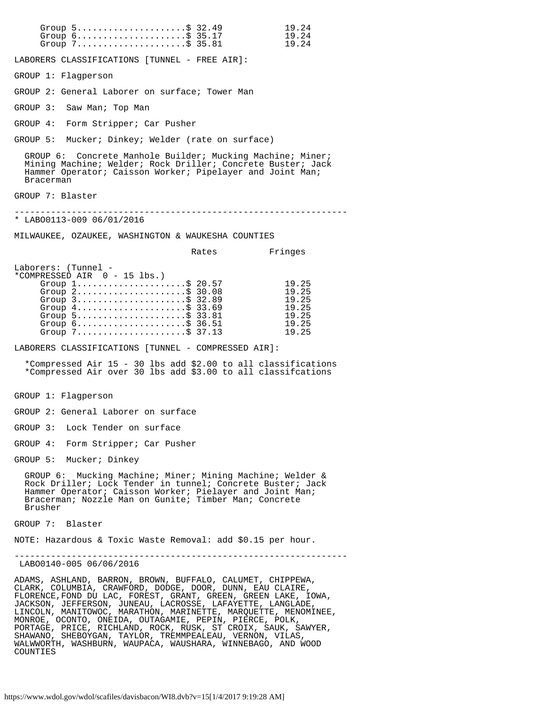Group 5...........................\$ 32.49 19.24 Group 6...........................\$ 35.17 19.24 Group 7.......................\$ 35.81 19.24 LABORERS CLASSIFICATIONS [TUNNEL - FREE AIR]: GROUP 1: Flagperson GROUP 2: General Laborer on surface; Tower Man GROUP 3: Saw Man; Top Man GROUP 4: Form Stripper; Car Pusher GROUP 5: Mucker; Dinkey; Welder (rate on surface) GROUP 6: Concrete Manhole Builder; Mucking Machine; Miner; Mining Machine; Welder; Rock Driller; Concrete Buster; Jack Hammer Operator; Caisson Worker; Pipelayer and Joint Man; Bracerman GROUP 7: Blaster ---------------------------------------------------------------- \* LABO0113-009 06/01/2016 MILWAUKEE, OZAUKEE, WASHINGTON & WAUKESHA COUNTIES Rates Fringes Laborers: (Tunnel - \*COMPRESSED AIR 0 - 15 lbs.) Group 1.........................\$ 20.57 19.25<br>Group 2.........................\$ 30.08 19.25 Group 2.........................\$ 30.08 19.25 Group 3...........................\$ 32.89 19.25 Group 4..........................\$ 33.69 19.25 Group 5...........................\$ 33.81 19.25 Group 6...........................\$ 36.51 19.25 Group 7.....................\$ 37.13 19.25 LABORERS CLASSIFICATIONS [TUNNEL - COMPRESSED AIR]: \*Compressed Air 15 - 30 lbs add \$2.00 to all classifications \*Compressed Air over 30 lbs add \$3.00 to all classifcations GROUP 1: Flagperson GROUP 2: General Laborer on surface GROUP 3: Lock Tender on surface GROUP 4: Form Stripper; Car Pusher GROUP 5: Mucker; Dinkey GROUP 6: Mucking Machine; Miner; Mining Machine; Welder & Rock Driller; Lock Tender in tunnel; Concrete Buster; Jack Hammer Operator; Caisson Worker; Pielayer and Joint Man; Bracerman; Nozzle Man on Gunite; Timber Man; Concrete Brusher GROUP 7: Blaster NOTE: Hazardous & Toxic Waste Removal: add \$0.15 per hour. ---------------------------------------------------------------- LABO0140-005 06/06/2016 ADAMS, ASHLAND, BARRON, BROWN, BUFFALO, CALUMET, CHIPPEWA, CLARK, COLUMBIA, CRAWFORD, DODGE, DOOR, DUNN, EAU CLAIRE, FLORENCE,FOND DU LAC, FOREST, GRANT, GREEN, GREEN LAKE, IOWA, JACKSON, JEFFERSON, JUNEAU, LACROSSE, LAFAYETTE, LANGLADE, LINCOLN, MANITOWOC, MARATHON, MARINETTE, MARQUETTE, MENOMINEE, MONROE, OCONTO, ONEIDA, OUTAGAMIE, PEPIN, PIERCE, POLK, PORTAGE, PRICE, RICHLAND, ROCK, RUSK, ST CROIX, SAUK, SAWYER, SHAWANO, SHEBOYGAN, TAYLOR, TREMMPEALEAU, VERNON, VILAS, WALWWORTH, WASHBURN, WAUPACA, WAUSHARA, WINNEBAGO, AND WOOD COUNTIES

https://www.wdol.gov/wdol/scafiles/davisbacon/WI8.dvb?v=15[1/4/2017 9:19:28 AM]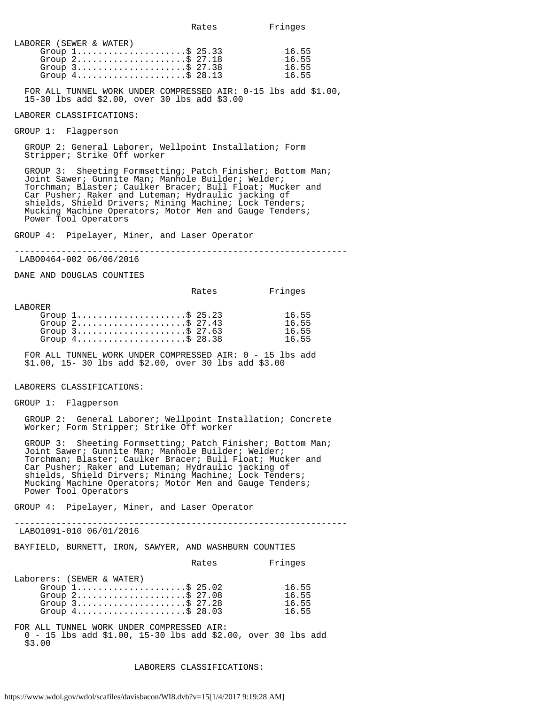| LABORER (SEWER & WATER)                                            |       |
|--------------------------------------------------------------------|-------|
| Group $1, \ldots, \ldots, \ldots, \ldots, \$ 25.33                 | 16.55 |
| Group $2 \ldots \ldots \ldots \ldots \ldots \ldots \text{S}$ 27.18 | 16.55 |
| Group $3$                                                          | 16.55 |
| Group $4 \ldots \ldots \ldots \ldots \ldots \ldots \text{S}$ 28.13 | 1655  |
|                                                                    |       |

 FOR ALL TUNNEL WORK UNDER COMPRESSED AIR: 0-15 lbs add \$1.00, 15-30 lbs add \$2.00, over 30 lbs add \$3.00

## $\overline{a}$ LABORER CLASSIFICATIONS:

GROUP 1: Flagperson

 GROUP 2: General Laborer, Wellpoint Installation; Form Stripper; Strike Off worker

 GROUP 3: Sheeting Formsetting; Patch Finisher; Bottom Man; Joint Sawer; Gunnite Man; Manhole Builder; Welder; Torchman; Blaster; Caulker Bracer; Bull Float; Mucker and Car Pusher; Raker and Luteman; Hydraulic jacking of shields, Shield Drivers; Mining Machine; Lock Tenders; Mucking Machine Operators; Motor Men and Gauge Tenders; Power Tool Operators

GROUP 4: Pipelayer, Miner, and Laser Operator

----------------------------------------------------------------

LABO0464-002 06/06/2016

DANE AND DOUGLAS COUNTIES

|                                                                                                                                                                                                         | Rates | Fringes                          |
|---------------------------------------------------------------------------------------------------------------------------------------------------------------------------------------------------------|-------|----------------------------------|
| LABORER<br>Group $1, \ldots, \ldots, \ldots, \ldots, \$ 25.23<br>Group $2, \ldots, \ldots, \ldots, \ldots, \$$ 27.43<br>Group $3$<br>Group $4 \ldots \ldots \ldots \ldots \ldots \ldots \text{S}$ 28.38 |       | 16.55<br>16.55<br>16.55<br>16.55 |

FOR ALL TUNNEL WORK UNDER COMPRESSED AIR: 0 - 15 lbs add \$1.00, 15- 30 lbs add \$2.00, over 30 lbs add \$3.00

LABORERS CLASSIFICATIONS:

GROUP 1: Flagperson

 GROUP 2: General Laborer; Wellpoint Installation; Concrete Worker; Form Stripper; Strike Off worker

 GROUP 3: Sheeting Formsetting; Patch Finisher; Bottom Man; Joint Sawer; Gunnite Man; Manhole Builder; Welder; Torchman; Blaster; Caulker Bracer; Bull Float; Mucker and Car Pusher; Raker and Luteman; Hydraulic jacking of shields, Shield Dirvers; Mining Machine; Lock Tenders; Mucking Machine Operators; Motor Men and Gauge Tenders; Power Tool Operators

GROUP 4: Pipelayer, Miner, and Laser Operator

----------------------------------------------------------------

LABO1091-010 06/01/2016

BAYFIELD, BURNETT, IRON, SAWYER, AND WASHBURN COUNTIES

Rates Fringes

| Laborers: (SEWER & WATER)                                          |       |
|--------------------------------------------------------------------|-------|
| Group $1, \ldots, \ldots, \ldots, \ldots, \$$ 25.02                | 16.55 |
| Group $2 \ldots \ldots \ldots \ldots \ldots \ldots \text{S}$ 27.08 | 16.55 |
| Group $3$                                                          | 16.55 |
| Group $4 \ldots \ldots \ldots \ldots \ldots \ldots \text{S}$ 28.03 | 16.55 |

FOR ALL TUNNEL WORK UNDER COMPRESSED AIR: 0 - 15 lbs add \$1.00, 15-30 lbs add \$2.00, over 30 lbs add \$3.00

LABORERS CLASSIFICATIONS: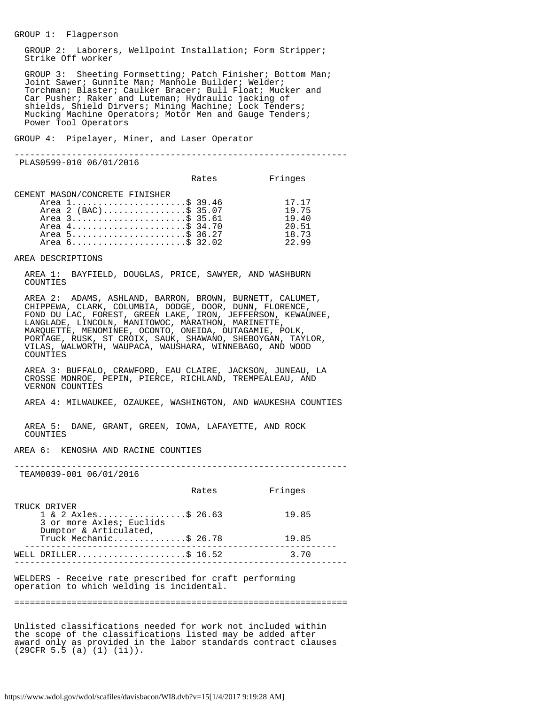### GROUP 1: Flagperson

 GROUP 2: Laborers, Wellpoint Installation; Form Stripper; Strike Off worker

 GROUP 3: Sheeting Formsetting; Patch Finisher; Bottom Man; Joint Sawer; Gunnite Man; Manhole Builder; Welder; Torchman; Blaster; Caulker Bracer; Bull Float; Mucker and Car Pusher; Raker and Luteman; Hydraulic jacking of shields, Shield Dirvers; Mining Machine; Lock Tenders; Mucking Machine Operators; Motor Men and Gauge Tenders; Power Tool Operators

GROUP 4: Pipelayer, Miner, and Laser Operator

----------------------------------------------------------------

PLAS0599-010 06/01/2016

|                                                                                                                                                  | Rates | Fringes                                            |
|--------------------------------------------------------------------------------------------------------------------------------------------------|-------|----------------------------------------------------|
| CEMENT MASON/CONCRETE FINISHER<br>Area 1\$ 39.46<br>Area 2 (BAC)\$ 35.07<br>Area 3\$ 35.61<br>Area 4\$ 34.70<br>Area 5\$ 36.27<br>Area 6\$ 32.02 |       | 17.17<br>19.75<br>19.40<br>20.51<br>18.73<br>22.99 |

AREA DESCRIPTIONS

 AREA 1: BAYFIELD, DOUGLAS, PRICE, SAWYER, AND WASHBURN COUNTIES

 AREA 2: ADAMS, ASHLAND, BARRON, BROWN, BURNETT, CALUMET, CHIPPEWA, CLARK, COLUMBIA, DODGE, DOOR, DUNN, FLORENCE, FOND DU LAC, FOREST, GREEN LAKE, IRON, JEFFERSON, KEWAUNEE, LANGLADE, LINCOLN, MANITOWOC, MARATHON, MARINETTE, MARQUETTE, MENOMINEE, OCONTO, ONEIDA, OUTAGAMIE, POLK, PORTAGE, RUSK, ST CROIX, SAUK, SHAWANO, SHEBOYGAN, TAYLOR, VILAS, WALWORTH, WAUPACA, WAUSHARA, WINNEBAGO, AND WOOD COUNTIES

 AREA 3: BUFFALO, CRAWFORD, EAU CLAIRE, JACKSON, JUNEAU, LA CROSSE MONROE, PEPIN, PIERCE, RICHLAND, TREMPEALEAU, AND VERNON COUNTIES

AREA 4: MILWAUKEE, OZAUKEE, WASHINGTON, AND WAUKESHA COUNTIES

 AREA 5: DANE, GRANT, GREEN, IOWA, LAFAYETTE, AND ROCK COUNTIES

AREA 6: KENOSHA AND RACINE COUNTIES

----------------------------------------------------------------

TEAM0039-001 06/01/2016

|                                                                                                       | Rates | Fringes |  |
|-------------------------------------------------------------------------------------------------------|-------|---------|--|
| TRUCK DRIVER<br>$1 \& 2 \text{ Axles} \& 26.63$<br>3 or more Axles; Euclids<br>Dumptor & Articulated, |       | 19.85   |  |
| Truck Mechanic\$ 26.78                                                                                |       | 19.85   |  |
| WELL DRILLER\$ 16.52                                                                                  |       | 3.70    |  |
| WELDERS - Receive rate prescribed for craft performing<br>operation to which welding is incidental.   |       |         |  |

================================================================

Unlisted classifications needed for work not included within the scope of the classifications listed may be added after award only as provided in the labor standards contract clauses (29CFR 5.5 (a) (1) (ii)).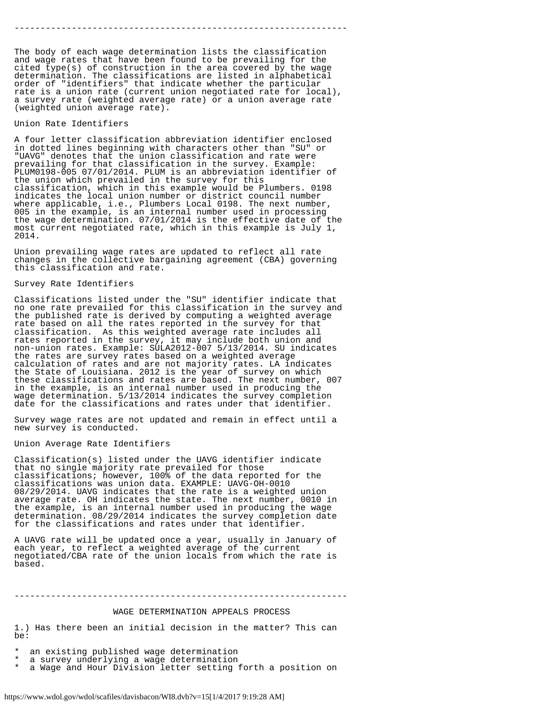----------------------------------------------------------------

The body of each wage determination lists the classification and wage rates that have been found to be prevailing for the cited type(s) of construction in the area covered by the wage determination. The classifications are listed in alphabetical order of "identifiers" that indicate whether the particular rate is a union rate (current union negotiated rate for local), a survey rate (weighted average rate) or a union average rate (weighted union average rate).

#### Union Rate Identifiers

A four letter classification abbreviation identifier enclosed in dotted lines beginning with characters other than "SU" or "UAVG" denotes that the union classification and rate were prevailing for that classification in the survey. Example: PLUM0198-005 07/01/2014. PLUM is an abbreviation identifier of the union which prevailed in the survey for this classification, which in this example would be Plumbers. 0198 indicates the local union number or district council number where applicable, i.e., Plumbers Local 0198. The next number, 005 in the example, is an internal number used in processing the wage determination. 07/01/2014 is the effective date of the most current negotiated rate, which in this example is July 1, 2014.

Union prevailing wage rates are updated to reflect all rate changes in the collective bargaining agreement (CBA) governing this classification and rate.

### Survey Rate Identifiers

Classifications listed under the "SU" identifier indicate that no one rate prevailed for this classification in the survey and the published rate is derived by computing a weighted average rate based on all the rates reported in the survey for that classification. As this weighted average rate includes all rates reported in the survey, it may include both union and non-union rates. Example: SULA2012-007 5/13/2014. SU indicates the rates are survey rates based on a weighted average calculation of rates and are not majority rates. LA indicates the State of Louisiana. 2012 is the year of survey on which these classifications and rates are based. The next number, 007 in the example, is an internal number used in producing the wage determination. 5/13/2014 indicates the survey completion date for the classifications and rates under that identifier.

Survey wage rates are not updated and remain in effect until a new survey is conducted.

# Union Average Rate Identifiers

Classification(s) listed under the UAVG identifier indicate that no single majority rate prevailed for those classifications; however, 100% of the data reported for the classifications was union data. EXAMPLE: UAVG-OH-0010 08/29/2014. UAVG indicates that the rate is a weighted union average rate. OH indicates the state. The next number, 0010 in the example, is an internal number used in producing the wage determination. 08/29/2014 indicates the survey completion date for the classifications and rates under that identifier.

A UAVG rate will be updated once a year, usually in January of each year, to reflect a weighted average of the current negotiated/CBA rate of the union locals from which the rate is based.

# ----------------------------------------------------------------

#### WAGE DETERMINATION APPEALS PROCESS

1.) Has there been an initial decision in the matter? This can be:

an existing published wage determination

a survey underlying a wage determination

a Wage and Hour Division letter setting forth a position on